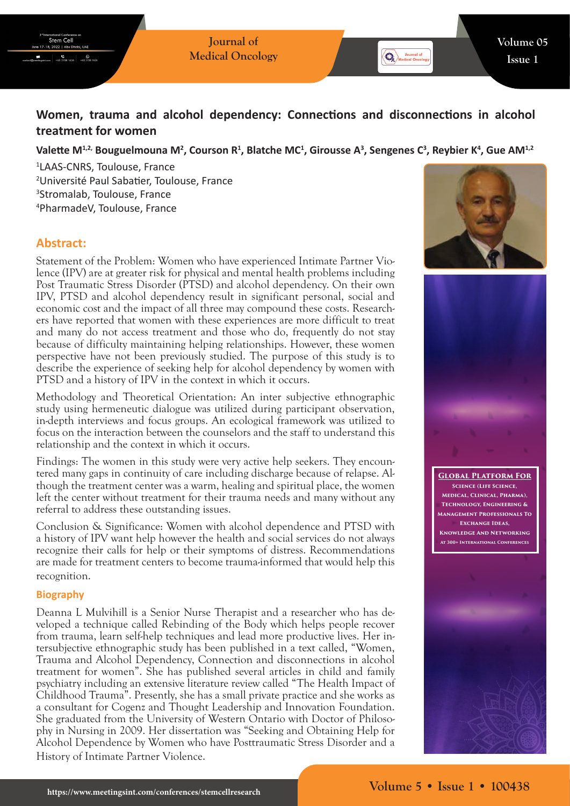# **Women, trauma and alcohol dependency: Connections and disconnections in alcohol treatment for women**

## Valette M<sup>1,2,</sup> Bouguelmouna M<sup>2</sup>, Courson R<sup>1</sup>, Blatche MC<sup>1</sup>, Girousse A<sup>3</sup>, Sengenes C<sup>3</sup>, Reybier K<sup>4</sup>, Gue AM<sup>1,2</sup>

 LAAS-CNRS, Toulouse, France Université Paul Sabatier, Toulouse, France Stromalab, Toulouse, France PharmadeV, Toulouse, France

## **Abstract:**

Stem Cel

 $\frac{6}{100}$  +65 3158 1626

Statement of the Problem: Women who have experienced Intimate Partner Violence (IPV) are at greater risk for physical and mental health problems including Post Traumatic Stress Disorder (PTSD) and alcohol dependency. On their own IPV, PTSD and alcohol dependency result in significant personal, social and economic cost and the impact of all three may compound these costs. Researchers have reported that women with these experiences are more difficult to treat and many do not access treatment and those who do, frequently do not stay because of difficulty maintaining helping relationships. However, these women perspective have not been previously studied. The purpose of this study is to describe the experience of seeking help for alcohol dependency by women with PTSD and a history of IPV in the context in which it occurs.

Methodology and Theoretical Orientation: An inter subjective ethnographic study using hermeneutic dialogue was utilized during participant observation, in-depth interviews and focus groups. An ecological framework was utilized to focus on the interaction between the counselors and the staff to understand this relationship and the context in which it occurs.

Findings: The women in this study were very active help seekers. They encountered many gaps in continuity of care including discharge because of relapse. Although the treatment center was a warm, healing and spiritual place, the women left the center without treatment for their trauma needs and many without any referral to address these outstanding issues.

Conclusion & Significance: Women with alcohol dependence and PTSD with a history of IPV want help however the health and social services do not always recognize their calls for help or their symptoms of distress. Recommendations are made for treatment centers to become trauma-informed that would help this recognition.

#### **Biography**

Deanna L Mulvihill is a Senior Nurse Therapist and a researcher who has developed a technique called Rebinding of the Body which helps people recover from trauma, learn self-help techniques and lead more productive lives. Her intersubjective ethnographic study has been published in a text called, "Women, Trauma and Alcohol Dependency, Connection and disconnections in alcohol treatment for women". She has published several articles in child and family psychiatry including an extensive literature review called "The Health Impact of Childhood Trauma". Presently, she has a small private practice and she works as a consultant for Cogenz and Thought Leadership and Innovation Foundation. She graduated from the University of Western Ontario with Doctor of Philosophy in Nursing in 2009. Her dissertation was "Seeking and Obtaining Help for Alcohol Dependence by Women who have Posttraumatic Stress Disorder and a History of Intimate Partner Violence.



Journal of



**Global Platform For Science (Life Science, Medical, Clinical, Pharma), Technology, Engineering & Management Professionals To Exchange Ideas, Knowledge And Networking At 300+ International Conferences**